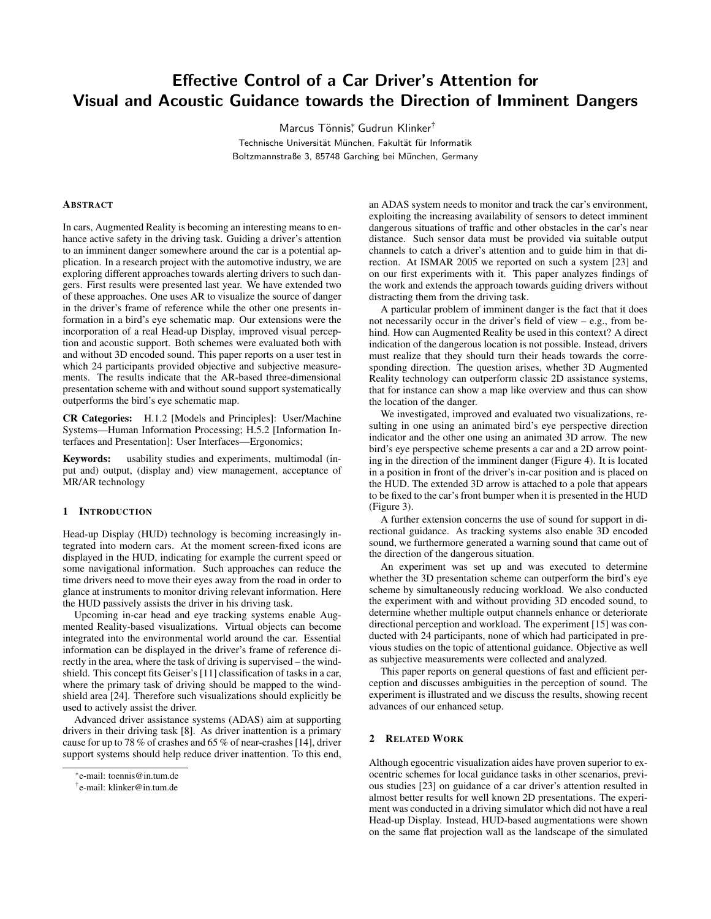# Effective Control of a Car Driver's Attention for Visual and Acoustic Guidance towards the Direction of Imminent Dangers

Marcus Tönnis; Gudrun Klinker<sup>†</sup> Technische Universität München, Fakultät für Informatik Boltzmannstraße 3, 85748 Garching bei München, Germany

# ABSTRACT

In cars, Augmented Reality is becoming an interesting means to enhance active safety in the driving task. Guiding a driver's attention to an imminent danger somewhere around the car is a potential application. In a research project with the automotive industry, we are exploring different approaches towards alerting drivers to such dangers. First results were presented last year. We have extended two of these approaches. One uses AR to visualize the source of danger in the driver's frame of reference while the other one presents information in a bird's eye schematic map. Our extensions were the incorporation of a real Head-up Display, improved visual perception and acoustic support. Both schemes were evaluated both with and without 3D encoded sound. This paper reports on a user test in which 24 participants provided objective and subjective measurements. The results indicate that the AR-based three-dimensional presentation scheme with and without sound support systematically outperforms the bird's eye schematic map.

CR Categories: H.1.2 [Models and Principles]: User/Machine Systems—Human Information Processing; H.5.2 [Information Interfaces and Presentation]: User Interfaces—Ergonomics;

Keywords: usability studies and experiments, multimodal (input and) output, (display and) view management, acceptance of MR/AR technology

# 1 INTRODUCTION

Head-up Display (HUD) technology is becoming increasingly integrated into modern cars. At the moment screen-fixed icons are displayed in the HUD, indicating for example the current speed or some navigational information. Such approaches can reduce the time drivers need to move their eyes away from the road in order to glance at instruments to monitor driving relevant information. Here the HUD passively assists the driver in his driving task.

Upcoming in-car head and eye tracking systems enable Augmented Reality-based visualizations. Virtual objects can become integrated into the environmental world around the car. Essential information can be displayed in the driver's frame of reference directly in the area, where the task of driving is supervised – the windshield. This concept fits Geiser's [11] classification of tasks in a car, where the primary task of driving should be mapped to the windshield area [24]. Therefore such visualizations should explicitly be used to actively assist the driver.

Advanced driver assistance systems (ADAS) aim at supporting drivers in their driving task [8]. As driver inattention is a primary cause for up to 78 % of crashes and 65 % of near-crashes [14], driver support systems should help reduce driver inattention. To this end,

an ADAS system needs to monitor and track the car's environment, exploiting the increasing availability of sensors to detect imminent dangerous situations of traffic and other obstacles in the car's near distance. Such sensor data must be provided via suitable output channels to catch a driver's attention and to guide him in that direction. At ISMAR 2005 we reported on such a system [23] and on our first experiments with it. This paper analyzes findings of the work and extends the approach towards guiding drivers without distracting them from the driving task.

A particular problem of imminent danger is the fact that it does not necessarily occur in the driver's field of view – e.g., from behind. How can Augmented Reality be used in this context? A direct indication of the dangerous location is not possible. Instead, drivers must realize that they should turn their heads towards the corresponding direction. The question arises, whether 3D Augmented Reality technology can outperform classic 2D assistance systems, that for instance can show a map like overview and thus can show the location of the danger.

We investigated, improved and evaluated two visualizations, resulting in one using an animated bird's eye perspective direction indicator and the other one using an animated 3D arrow. The new bird's eye perspective scheme presents a car and a 2D arrow pointing in the direction of the imminent danger (Figure 4). It is located in a position in front of the driver's in-car position and is placed on the HUD. The extended 3D arrow is attached to a pole that appears to be fixed to the car's front bumper when it is presented in the HUD (Figure 3).

A further extension concerns the use of sound for support in directional guidance. As tracking systems also enable 3D encoded sound, we furthermore generated a warning sound that came out of the direction of the dangerous situation.

An experiment was set up and was executed to determine whether the 3D presentation scheme can outperform the bird's eye scheme by simultaneously reducing workload. We also conducted the experiment with and without providing 3D encoded sound, to determine whether multiple output channels enhance or deteriorate directional perception and workload. The experiment [15] was conducted with 24 participants, none of which had participated in previous studies on the topic of attentional guidance. Objective as well as subjective measurements were collected and analyzed.

This paper reports on general questions of fast and efficient perception and discusses ambiguities in the perception of sound. The experiment is illustrated and we discuss the results, showing recent advances of our enhanced setup.

# 2 RELATED WORK

Although egocentric visualization aides have proven superior to exocentric schemes for local guidance tasks in other scenarios, previous studies [23] on guidance of a car driver's attention resulted in almost better results for well known 2D presentations. The experiment was conducted in a driving simulator which did not have a real Head-up Display. Instead, HUD-based augmentations were shown on the same flat projection wall as the landscape of the simulated

<sup>∗</sup> e-mail: toennis@in.tum.de

<sup>†</sup> e-mail: klinker@in.tum.de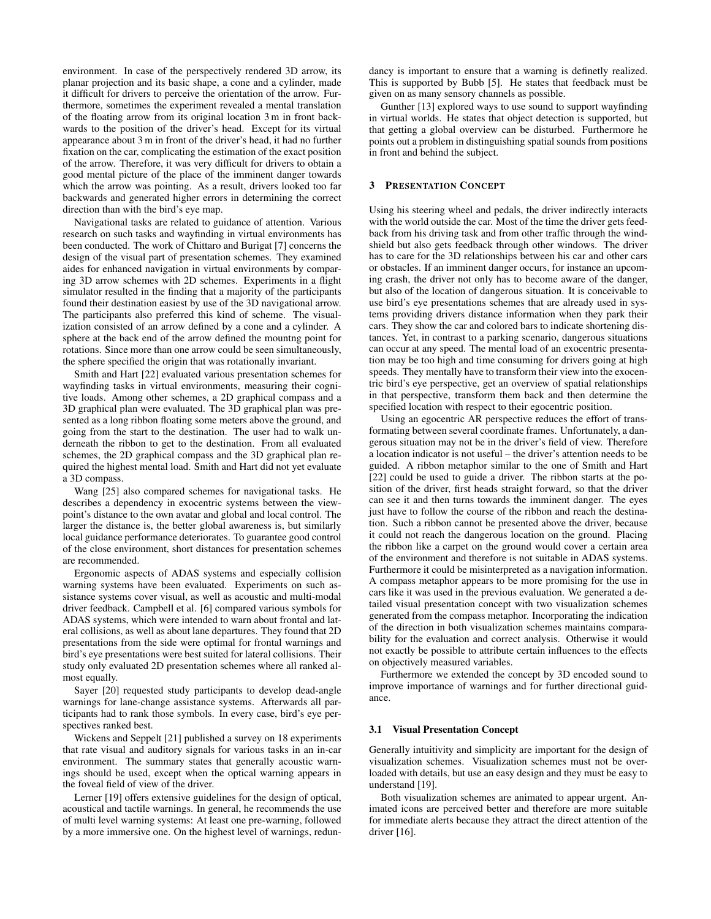environment. In case of the perspectively rendered 3D arrow, its planar projection and its basic shape, a cone and a cylinder, made it difficult for drivers to perceive the orientation of the arrow. Furthermore, sometimes the experiment revealed a mental translation of the floating arrow from its original location 3 m in front backwards to the position of the driver's head. Except for its virtual appearance about 3 m in front of the driver's head, it had no further fixation on the car, complicating the estimation of the exact position of the arrow. Therefore, it was very difficult for drivers to obtain a good mental picture of the place of the imminent danger towards which the arrow was pointing. As a result, drivers looked too far backwards and generated higher errors in determining the correct direction than with the bird's eye map.

Navigational tasks are related to guidance of attention. Various research on such tasks and wayfinding in virtual environments has been conducted. The work of Chittaro and Burigat [7] concerns the design of the visual part of presentation schemes. They examined aides for enhanced navigation in virtual environments by comparing 3D arrow schemes with 2D schemes. Experiments in a flight simulator resulted in the finding that a majority of the participants found their destination easiest by use of the 3D navigational arrow. The participants also preferred this kind of scheme. The visualization consisted of an arrow defined by a cone and a cylinder. A sphere at the back end of the arrow defined the mountng point for rotations. Since more than one arrow could be seen simultaneously, the sphere specified the origin that was rotationally invariant.

Smith and Hart [22] evaluated various presentation schemes for wayfinding tasks in virtual environments, measuring their cognitive loads. Among other schemes, a 2D graphical compass and a 3D graphical plan were evaluated. The 3D graphical plan was presented as a long ribbon floating some meters above the ground, and going from the start to the destination. The user had to walk underneath the ribbon to get to the destination. From all evaluated schemes, the 2D graphical compass and the 3D graphical plan required the highest mental load. Smith and Hart did not yet evaluate a 3D compass.

Wang [25] also compared schemes for navigational tasks. He describes a dependency in exocentric systems between the viewpoint's distance to the own avatar and global and local control. The larger the distance is, the better global awareness is, but similarly local guidance performance deteriorates. To guarantee good control of the close environment, short distances for presentation schemes are recommended.

Ergonomic aspects of ADAS systems and especially collision warning systems have been evaluated. Experiments on such assistance systems cover visual, as well as acoustic and multi-modal driver feedback. Campbell et al. [6] compared various symbols for ADAS systems, which were intended to warn about frontal and lateral collisions, as well as about lane departures. They found that 2D presentations from the side were optimal for frontal warnings and bird's eye presentations were best suited for lateral collisions. Their study only evaluated 2D presentation schemes where all ranked almost equally.

Sayer [20] requested study participants to develop dead-angle warnings for lane-change assistance systems. Afterwards all participants had to rank those symbols. In every case, bird's eye perspectives ranked best.

Wickens and Seppelt [21] published a survey on 18 experiments that rate visual and auditory signals for various tasks in an in-car environment. The summary states that generally acoustic warnings should be used, except when the optical warning appears in the foveal field of view of the driver.

Lerner [19] offers extensive guidelines for the design of optical, acoustical and tactile warnings. In general, he recommends the use of multi level warning systems: At least one pre-warning, followed by a more immersive one. On the highest level of warnings, redundancy is important to ensure that a warning is definetly realized. This is supported by Bubb [5]. He states that feedback must be given on as many sensory channels as possible.

Gunther [13] explored ways to use sound to support wayfinding in virtual worlds. He states that object detection is supported, but that getting a global overview can be disturbed. Furthermore he points out a problem in distinguishing spatial sounds from positions in front and behind the subject.

## 3 PRESENTATION CONCEPT

Using his steering wheel and pedals, the driver indirectly interacts with the world outside the car. Most of the time the driver gets feedback from his driving task and from other traffic through the windshield but also gets feedback through other windows. The driver has to care for the 3D relationships between his car and other cars or obstacles. If an imminent danger occurs, for instance an upcoming crash, the driver not only has to become aware of the danger, but also of the location of dangerous situation. It is conceivable to use bird's eye presentations schemes that are already used in systems providing drivers distance information when they park their cars. They show the car and colored bars to indicate shortening distances. Yet, in contrast to a parking scenario, dangerous situations can occur at any speed. The mental load of an exocentric presentation may be too high and time consuming for drivers going at high speeds. They mentally have to transform their view into the exocentric bird's eye perspective, get an overview of spatial relationships in that perspective, transform them back and then determine the specified location with respect to their egocentric position.

Using an egocentric AR perspective reduces the effort of transformating between several coordinate frames. Unfortunately, a dangerous situation may not be in the driver's field of view. Therefore a location indicator is not useful – the driver's attention needs to be guided. A ribbon metaphor similar to the one of Smith and Hart [22] could be used to guide a driver. The ribbon starts at the position of the driver, first heads straight forward, so that the driver can see it and then turns towards the imminent danger. The eyes just have to follow the course of the ribbon and reach the destination. Such a ribbon cannot be presented above the driver, because it could not reach the dangerous location on the ground. Placing the ribbon like a carpet on the ground would cover a certain area of the environment and therefore is not suitable in ADAS systems. Furthermore it could be misinterpreted as a navigation information. A compass metaphor appears to be more promising for the use in cars like it was used in the previous evaluation. We generated a detailed visual presentation concept with two visualization schemes generated from the compass metaphor. Incorporating the indication of the direction in both visualization schemes maintains comparability for the evaluation and correct analysis. Otherwise it would not exactly be possible to attribute certain influences to the effects on objectively measured variables.

Furthermore we extended the concept by 3D encoded sound to improve importance of warnings and for further directional guidance.

#### 3.1 Visual Presentation Concept

Generally intuitivity and simplicity are important for the design of visualization schemes. Visualization schemes must not be overloaded with details, but use an easy design and they must be easy to understand [19].

Both visualization schemes are animated to appear urgent. Animated icons are perceived better and therefore are more suitable for immediate alerts because they attract the direct attention of the driver [16].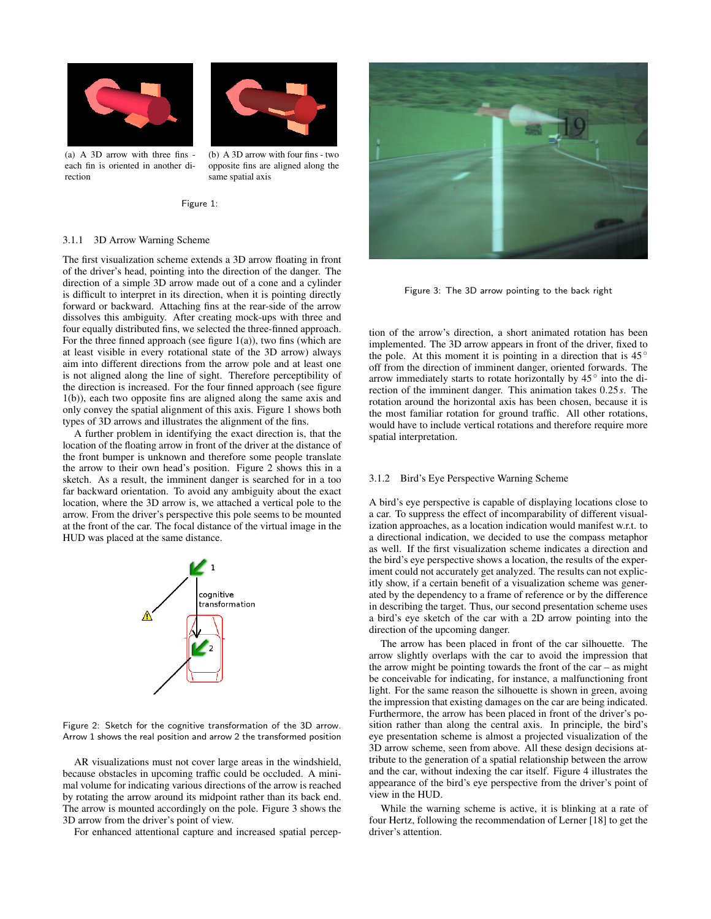



(a) A 3D arrow with three fins each fin is oriented in another direction

(b) A 3D arrow with four fins - two opposite fins are aligned along the same spatial axis

# Figure 1:

#### 3.1.1 3D Arrow Warning Scheme

The first visualization scheme extends a 3D arrow floating in front of the driver's head, pointing into the direction of the danger. The direction of a simple 3D arrow made out of a cone and a cylinder is difficult to interpret in its direction, when it is pointing directly forward or backward. Attaching fins at the rear-side of the arrow dissolves this ambiguity. After creating mock-ups with three and four equally distributed fins, we selected the three-finned approach. For the three finned approach (see figure  $1(a)$ ), two fins (which are at least visible in every rotational state of the 3D arrow) always aim into different directions from the arrow pole and at least one is not aligned along the line of sight. Therefore perceptibility of the direction is increased. For the four finned approach (see figure 1(b)), each two opposite fins are aligned along the same axis and only convey the spatial alignment of this axis. Figure 1 shows both types of 3D arrows and illustrates the alignment of the fins.

A further problem in identifying the exact direction is, that the location of the floating arrow in front of the driver at the distance of the front bumper is unknown and therefore some people translate the arrow to their own head's position. Figure 2 shows this in a sketch. As a result, the imminent danger is searched for in a too far backward orientation. To avoid any ambiguity about the exact location, where the 3D arrow is, we attached a vertical pole to the arrow. From the driver's perspective this pole seems to be mounted at the front of the car. The focal distance of the virtual image in the HUD was placed at the same distance.



Figure 2: Sketch for the cognitive transformation of the 3D arrow. Arrow 1 shows the real position and arrow 2 the transformed position

AR visualizations must not cover large areas in the windshield, because obstacles in upcoming traffic could be occluded. A minimal volume for indicating various directions of the arrow is reached by rotating the arrow around its midpoint rather than its back end. The arrow is mounted accordingly on the pole. Figure 3 shows the 3D arrow from the driver's point of view.

For enhanced attentional capture and increased spatial percep-



Figure 3: The 3D arrow pointing to the back right

tion of the arrow's direction, a short animated rotation has been implemented. The 3D arrow appears in front of the driver, fixed to the pole. At this moment it is pointing in a direction that is  $45^\circ$ off from the direction of imminent danger, oriented forwards. The arrow immediately starts to rotate horizontally by 45◦ into the direction of the imminent danger. This animation takes 0.25*s*. The rotation around the horizontal axis has been chosen, because it is the most familiar rotation for ground traffic. All other rotations, would have to include vertical rotations and therefore require more spatial interpretation.

# 3.1.2 Bird's Eye Perspective Warning Scheme

A bird's eye perspective is capable of displaying locations close to a car. To suppress the effect of incomparability of different visualization approaches, as a location indication would manifest w.r.t. to a directional indication, we decided to use the compass metaphor as well. If the first visualization scheme indicates a direction and the bird's eye perspective shows a location, the results of the experiment could not accurately get analyzed. The results can not explicitly show, if a certain benefit of a visualization scheme was generated by the dependency to a frame of reference or by the difference in describing the target. Thus, our second presentation scheme uses a bird's eye sketch of the car with a 2D arrow pointing into the direction of the upcoming danger.

The arrow has been placed in front of the car silhouette. The arrow slightly overlaps with the car to avoid the impression that the arrow might be pointing towards the front of the  $car - as$  might be conceivable for indicating, for instance, a malfunctioning front light. For the same reason the silhouette is shown in green, avoing the impression that existing damages on the car are being indicated. Furthermore, the arrow has been placed in front of the driver's position rather than along the central axis. In principle, the bird's eye presentation scheme is almost a projected visualization of the 3D arrow scheme, seen from above. All these design decisions attribute to the generation of a spatial relationship between the arrow and the car, without indexing the car itself. Figure 4 illustrates the appearance of the bird's eye perspective from the driver's point of view in the HUD.

While the warning scheme is active, it is blinking at a rate of four Hertz, following the recommendation of Lerner [18] to get the driver's attention.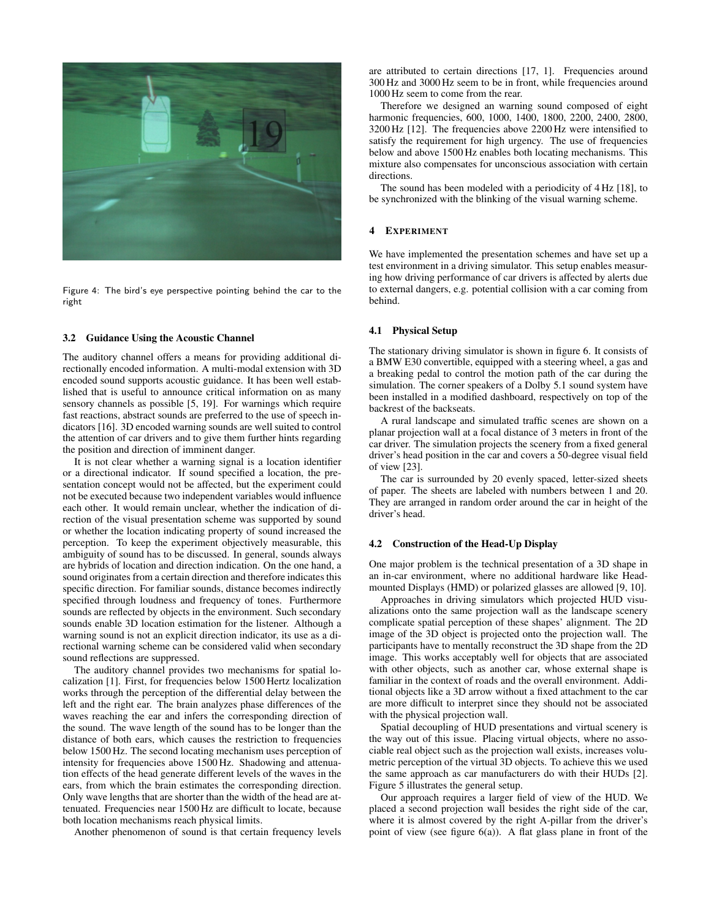

Figure 4: The bird's eye perspective pointing behind the car to the right

## 3.2 Guidance Using the Acoustic Channel

The auditory channel offers a means for providing additional directionally encoded information. A multi-modal extension with 3D encoded sound supports acoustic guidance. It has been well established that is useful to announce critical information on as many sensory channels as possible [5, 19]. For warnings which require fast reactions, abstract sounds are preferred to the use of speech indicators [16]. 3D encoded warning sounds are well suited to control the attention of car drivers and to give them further hints regarding the position and direction of imminent danger.

It is not clear whether a warning signal is a location identifier or a directional indicator. If sound specified a location, the presentation concept would not be affected, but the experiment could not be executed because two independent variables would influence each other. It would remain unclear, whether the indication of direction of the visual presentation scheme was supported by sound or whether the location indicating property of sound increased the perception. To keep the experiment objectively measurable, this ambiguity of sound has to be discussed. In general, sounds always are hybrids of location and direction indication. On the one hand, a sound originates from a certain direction and therefore indicates this specific direction. For familiar sounds, distance becomes indirectly specified through loudness and frequency of tones. Furthermore sounds are reflected by objects in the environment. Such secondary sounds enable 3D location estimation for the listener. Although a warning sound is not an explicit direction indicator, its use as a directional warning scheme can be considered valid when secondary sound reflections are suppressed.

The auditory channel provides two mechanisms for spatial localization [1]. First, for frequencies below 1500 Hertz localization works through the perception of the differential delay between the left and the right ear. The brain analyzes phase differences of the waves reaching the ear and infers the corresponding direction of the sound. The wave length of the sound has to be longer than the distance of both ears, which causes the restriction to frequencies below 1500 Hz. The second locating mechanism uses perception of intensity for frequencies above 1500 Hz. Shadowing and attenuation effects of the head generate different levels of the waves in the ears, from which the brain estimates the corresponding direction. Only wave lengths that are shorter than the width of the head are attenuated. Frequencies near 1500 Hz are difficult to locate, because both location mechanisms reach physical limits.

Another phenomenon of sound is that certain frequency levels

are attributed to certain directions [17, 1]. Frequencies around 300 Hz and 3000 Hz seem to be in front, while frequencies around 1000 Hz seem to come from the rear.

Therefore we designed an warning sound composed of eight harmonic frequencies, 600, 1000, 1400, 1800, 2200, 2400, 2800, 3200 Hz [12]. The frequencies above 2200 Hz were intensified to satisfy the requirement for high urgency. The use of frequencies below and above 1500 Hz enables both locating mechanisms. This mixture also compensates for unconscious association with certain directions.

The sound has been modeled with a periodicity of 4 Hz [18], to be synchronized with the blinking of the visual warning scheme.

# 4 EXPERIMENT

We have implemented the presentation schemes and have set up a test environment in a driving simulator. This setup enables measuring how driving performance of car drivers is affected by alerts due to external dangers, e.g. potential collision with a car coming from behind.

# 4.1 Physical Setup

The stationary driving simulator is shown in figure 6. It consists of a BMW E30 convertible, equipped with a steering wheel, a gas and a breaking pedal to control the motion path of the car during the simulation. The corner speakers of a Dolby 5.1 sound system have been installed in a modified dashboard, respectively on top of the backrest of the backseats.

A rural landscape and simulated traffic scenes are shown on a planar projection wall at a focal distance of 3 meters in front of the car driver. The simulation projects the scenery from a fixed general driver's head position in the car and covers a 50-degree visual field of view [23].

The car is surrounded by 20 evenly spaced, letter-sized sheets of paper. The sheets are labeled with numbers between 1 and 20. They are arranged in random order around the car in height of the driver's head.

#### 4.2 Construction of the Head-Up Display

One major problem is the technical presentation of a 3D shape in an in-car environment, where no additional hardware like Headmounted Displays (HMD) or polarized glasses are allowed [9, 10].

Approaches in driving simulators which projected HUD visualizations onto the same projection wall as the landscape scenery complicate spatial perception of these shapes' alignment. The 2D image of the 3D object is projected onto the projection wall. The participants have to mentally reconstruct the 3D shape from the 2D image. This works acceptably well for objects that are associated with other objects, such as another car, whose external shape is familiar in the context of roads and the overall environment. Additional objects like a 3D arrow without a fixed attachment to the car are more difficult to interpret since they should not be associated with the physical projection wall.

Spatial decoupling of HUD presentations and virtual scenery is the way out of this issue. Placing virtual objects, where no associable real object such as the projection wall exists, increases volumetric perception of the virtual 3D objects. To achieve this we used the same approach as car manufacturers do with their HUDs [2]. Figure 5 illustrates the general setup.

Our approach requires a larger field of view of the HUD. We placed a second projection wall besides the right side of the car, where it is almost covered by the right A-pillar from the driver's point of view (see figure  $6(a)$ ). A flat glass plane in front of the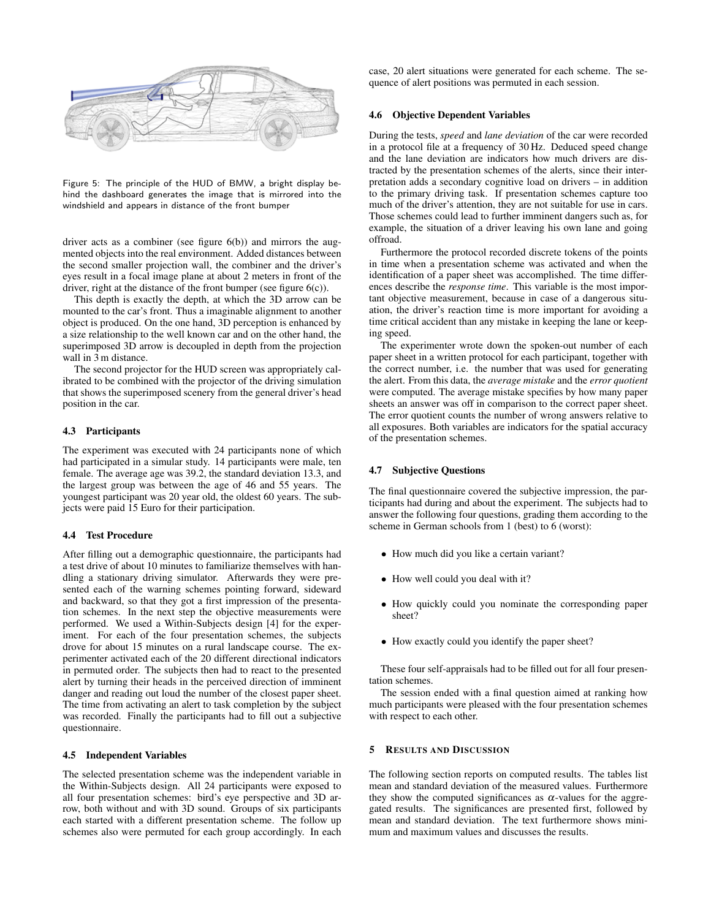

Figure 5: The principle of the HUD of BMW, a bright display behind the dashboard generates the image that is mirrored into the windshield and appears in distance of the front bumper

driver acts as a combiner (see figure 6(b)) and mirrors the augmented objects into the real environment. Added distances between the second smaller projection wall, the combiner and the driver's eyes result in a focal image plane at about 2 meters in front of the driver, right at the distance of the front bumper (see figure  $6(c)$ ).

This depth is exactly the depth, at which the 3D arrow can be mounted to the car's front. Thus a imaginable alignment to another object is produced. On the one hand, 3D perception is enhanced by a size relationship to the well known car and on the other hand, the superimposed 3D arrow is decoupled in depth from the projection wall in 3 m distance.

The second projector for the HUD screen was appropriately calibrated to be combined with the projector of the driving simulation that shows the superimposed scenery from the general driver's head position in the car.

## 4.3 Participants

The experiment was executed with 24 participants none of which had participated in a simular study. 14 participants were male, ten female. The average age was 39.2, the standard deviation 13.3, and the largest group was between the age of 46 and 55 years. The youngest participant was 20 year old, the oldest 60 years. The subjects were paid 15 Euro for their participation.

### 4.4 Test Procedure

After filling out a demographic questionnaire, the participants had a test drive of about 10 minutes to familiarize themselves with handling a stationary driving simulator. Afterwards they were presented each of the warning schemes pointing forward, sideward and backward, so that they got a first impression of the presentation schemes. In the next step the objective measurements were performed. We used a Within-Subjects design [4] for the experiment. For each of the four presentation schemes, the subjects drove for about 15 minutes on a rural landscape course. The experimenter activated each of the 20 different directional indicators in permuted order. The subjects then had to react to the presented alert by turning their heads in the perceived direction of imminent danger and reading out loud the number of the closest paper sheet. The time from activating an alert to task completion by the subject was recorded. Finally the participants had to fill out a subjective questionnaire.

#### 4.5 Independent Variables

The selected presentation scheme was the independent variable in the Within-Subjects design. All 24 participants were exposed to all four presentation schemes: bird's eye perspective and 3D arrow, both without and with 3D sound. Groups of six participants each started with a different presentation scheme. The follow up schemes also were permuted for each group accordingly. In each

case, 20 alert situations were generated for each scheme. The sequence of alert positions was permuted in each session.

## 4.6 Objective Dependent Variables

During the tests, *speed* and *lane deviation* of the car were recorded in a protocol file at a frequency of 30 Hz. Deduced speed change and the lane deviation are indicators how much drivers are distracted by the presentation schemes of the alerts, since their interpretation adds a secondary cognitive load on drivers – in addition to the primary driving task. If presentation schemes capture too much of the driver's attention, they are not suitable for use in cars. Those schemes could lead to further imminent dangers such as, for example, the situation of a driver leaving his own lane and going offroad.

Furthermore the protocol recorded discrete tokens of the points in time when a presentation scheme was activated and when the identification of a paper sheet was accomplished. The time differences describe the *response time*. This variable is the most important objective measurement, because in case of a dangerous situation, the driver's reaction time is more important for avoiding a time critical accident than any mistake in keeping the lane or keeping speed.

The experimenter wrote down the spoken-out number of each paper sheet in a written protocol for each participant, together with the correct number, i.e. the number that was used for generating the alert. From this data, the *average mistake* and the *error quotient* were computed. The average mistake specifies by how many paper sheets an answer was off in comparison to the correct paper sheet. The error quotient counts the number of wrong answers relative to all exposures. Both variables are indicators for the spatial accuracy of the presentation schemes.

## 4.7 Subjective Questions

The final questionnaire covered the subjective impression, the participants had during and about the experiment. The subjects had to answer the following four questions, grading them according to the scheme in German schools from 1 (best) to 6 (worst):

- How much did you like a certain variant?
- How well could you deal with it?
- How quickly could you nominate the corresponding paper sheet?
- How exactly could you identify the paper sheet?

These four self-appraisals had to be filled out for all four presentation schemes.

The session ended with a final question aimed at ranking how much participants were pleased with the four presentation schemes with respect to each other.

## 5 RESULTS AND DISCUSSION

The following section reports on computed results. The tables list mean and standard deviation of the measured values. Furthermore they show the computed significances as  $\alpha$ -values for the aggregated results. The significances are presented first, followed by mean and standard deviation. The text furthermore shows minimum and maximum values and discusses the results.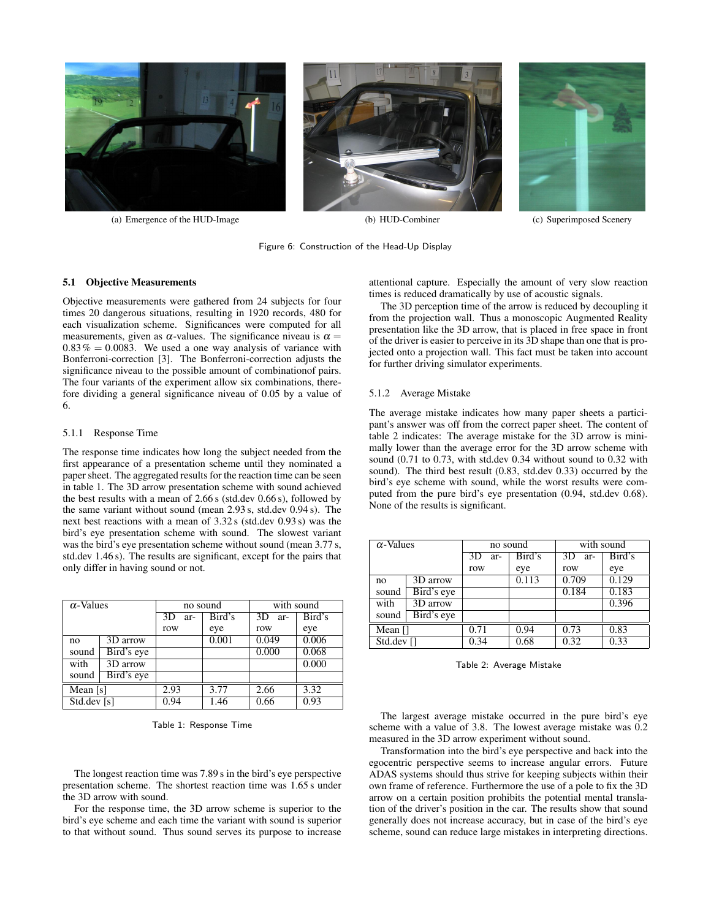

(a) Emergence of the HUD-Image (b) HUD-Combiner (c) Superimposed Scenery

Figure 6: Construction of the Head-Up Display

#### 5.1 Objective Measurements

Objective measurements were gathered from 24 subjects for four times 20 dangerous situations, resulting in 1920 records, 480 for each visualization scheme. Significances were computed for all measurements, given as  $\alpha$ -values. The significance niveau is  $\alpha =$  $0.83\% = 0.0083$ . We used a one way analysis of variance with Bonferroni-correction [3]. The Bonferroni-correction adjusts the significance niveau to the possible amount of combinationof pairs. The four variants of the experiment allow six combinations, therefore dividing a general significance niveau of 0.05 by a value of 6.

#### 5.1.1 Response Time

The response time indicates how long the subject needed from the first appearance of a presentation scheme until they nominated a paper sheet. The aggregated results for the reaction time can be seen in table 1. The 3D arrow presentation scheme with sound achieved the best results with a mean of 2.66 s (std.dev 0.66 s), followed by the same variant without sound (mean 2.93 s, std.dev 0.94 s). The next best reactions with a mean of 3.32 s (std.dev 0.93 s) was the bird's eye presentation scheme with sound. The slowest variant was the bird's eye presentation scheme without sound (mean 3.77 s, std.dev 1.46 s). The results are significant, except for the pairs that only differ in having sound or not.

| $\alpha$ -Values |            | no sound  |        | with sound |        |
|------------------|------------|-----------|--------|------------|--------|
|                  |            | 3D<br>ar- | Bird's | 3D<br>ar-  | Bird's |
|                  |            | row       | eye    | row        | eye    |
| no               | 3D arrow   |           | 0.001  | 0.049      | 0.006  |
| sound            | Bird's eye |           |        | 0.000      | 0.068  |
| with             | 3D arrow   |           |        |            | 0.000  |
| sound            | Bird's eye |           |        |            |        |
| Mean [s]         |            | 2.93      | 3.77   | 2.66       | 3.32   |
| Std.dev [s]      |            | 0.94      | 1.46   | 0.66       | 0.93   |

Table 1: Response Time

The longest reaction time was 7.89 s in the bird's eye perspective presentation scheme. The shortest reaction time was 1.65 s under the 3D arrow with sound.

For the response time, the 3D arrow scheme is superior to the bird's eye scheme and each time the variant with sound is superior to that without sound. Thus sound serves its purpose to increase attentional capture. Especially the amount of very slow reaction times is reduced dramatically by use of acoustic signals.

The 3D perception time of the arrow is reduced by decoupling it from the projection wall. Thus a monoscopic Augmented Reality presentation like the 3D arrow, that is placed in free space in front of the driver is easier to perceive in its 3D shape than one that is projected onto a projection wall. This fact must be taken into account for further driving simulator experiments.

## 5.1.2 Average Mistake

The average mistake indicates how many paper sheets a participant's answer was off from the correct paper sheet. The content of table 2 indicates: The average mistake for the 3D arrow is minimally lower than the average error for the 3D arrow scheme with sound (0.71 to 0.73, with std.dev 0.34 without sound to 0.32 with sound). The third best result (0.83, std.dev 0.33) occurred by the bird's eye scheme with sound, while the worst results were computed from the pure bird's eye presentation (0.94, std.dev 0.68). None of the results is significant.

| $\alpha$ -Values |            | no sound  |        | with sound |        |
|------------------|------------|-----------|--------|------------|--------|
|                  |            | 3D<br>ar- | Bird's | 3D<br>ar-  | Bird's |
|                  |            | row       | eye    | row        | eye    |
| no               | 3D arrow   |           | 0.113  | 0.709      | 0.129  |
| sound            | Bird's eye |           |        | 0.184      | 0.183  |
| with             | 3D arrow   |           |        |            | 0.396  |
| sound            | Bird's eye |           |        |            |        |
| Mean $\prod$     |            | 0.71      | 0.94   | 0.73       | 0.83   |
| Std.dev []       |            | 0.34      | 0.68   | 0.32       | 0.33   |

Table 2: Average Mistake

The largest average mistake occurred in the pure bird's eye scheme with a value of 3.8. The lowest average mistake was 0.2 measured in the 3D arrow experiment without sound.

Transformation into the bird's eye perspective and back into the egocentric perspective seems to increase angular errors. Future ADAS systems should thus strive for keeping subjects within their own frame of reference. Furthermore the use of a pole to fix the 3D arrow on a certain position prohibits the potential mental translation of the driver's position in the car. The results show that sound generally does not increase accuracy, but in case of the bird's eye scheme, sound can reduce large mistakes in interpreting directions.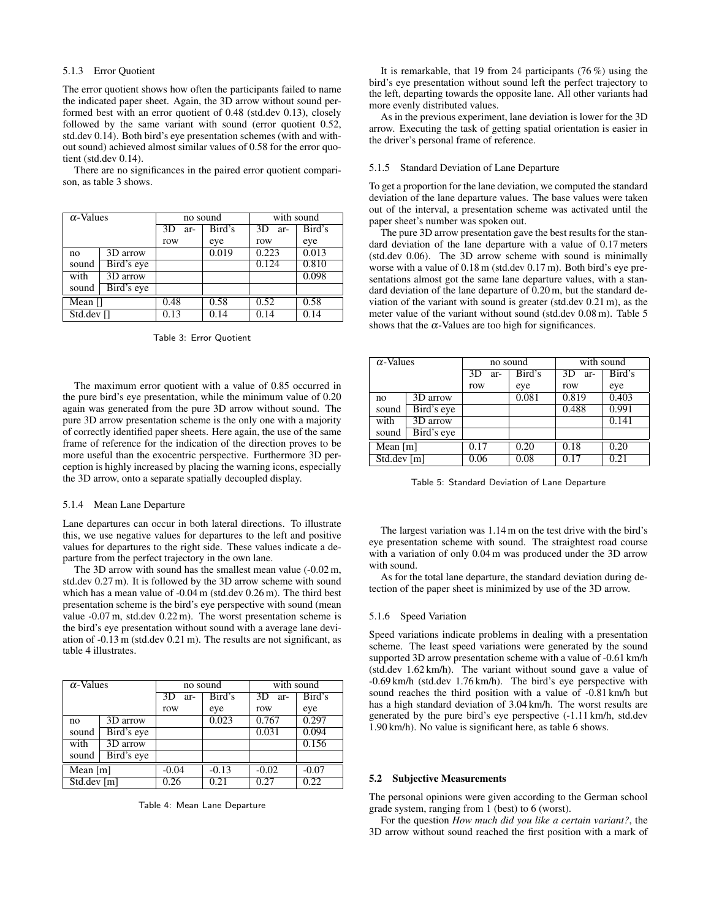## 5.1.3 Error Quotient

The error quotient shows how often the participants failed to name the indicated paper sheet. Again, the 3D arrow without sound performed best with an error quotient of 0.48 (std.dev 0.13), closely followed by the same variant with sound (error quotient 0.52, std.dev 0.14). Both bird's eye presentation schemes (with and without sound) achieved almost similar values of 0.58 for the error quotient (std.dev 0.14).

There are no significances in the paired error quotient comparison, as table 3 shows.

| $\alpha$ -Values |            | no sound  |        | with sound |        |
|------------------|------------|-----------|--------|------------|--------|
|                  |            | 3D<br>ar- | Bird's | 3D<br>ar-  | Bird's |
|                  |            | row       | eye    | row        | eye    |
| no               | 3D arrow   |           | 0.019  | 0.223      | 0.013  |
| sound            | Bird's eye |           |        | 0.124      | 0.810  |
| with             | 3D arrow   |           |        |            | 0.098  |
| sound            | Bird's eye |           |        |            |        |
| Mean $\Box$      |            | 0.48      | 0.58   | 0.52       | 0.58   |
| Std.dev []       |            | 0.13      | 0.14   | 0.14       | 0.14   |

Table 3: Error Quotient

The maximum error quotient with a value of 0.85 occurred in the pure bird's eye presentation, while the minimum value of 0.20 again was generated from the pure 3D arrow without sound. The pure 3D arrow presentation scheme is the only one with a majority of correctly identified paper sheets. Here again, the use of the same frame of reference for the indication of the direction proves to be more useful than the exocentric perspective. Furthermore 3D perception is highly increased by placing the warning icons, especially the 3D arrow, onto a separate spatially decoupled display.

#### 5.1.4 Mean Lane Departure

Lane departures can occur in both lateral directions. To illustrate this, we use negative values for departures to the left and positive values for departures to the right side. These values indicate a departure from the perfect trajectory in the own lane.

The 3D arrow with sound has the smallest mean value  $(-0.02 \text{ m}$ , std.dev 0.27 m). It is followed by the 3D arrow scheme with sound which has a mean value of -0.04 m (std.dev 0.26 m). The third best presentation scheme is the bird's eye perspective with sound (mean value -0.07 m, std.dev 0.22 m). The worst presentation scheme is the bird's eye presentation without sound with a average lane deviation of -0.13 m (std.dev 0.21 m). The results are not significant, as table 4 illustrates.

| $\alpha$ -Values                |            | no sound  |         | with sound |         |
|---------------------------------|------------|-----------|---------|------------|---------|
|                                 |            | 3D<br>ar- | Bird's  | 3D<br>ar-  | Bird's  |
|                                 |            | row       | eye     | row        | eye     |
| no                              | 3D arrow   |           | 0.023   | 0.767      | 0.297   |
| sound                           | Bird's eye |           |         | 0.031      | 0.094   |
| with                            | 3D arrow   |           |         |            | 0.156   |
| sound                           | Bird's eye |           |         |            |         |
| Mean $[m]$                      |            | $-0.04$   | $-0.13$ | $-0.02$    | $-0.07$ |
| $\overline{\text{Std}.dev}$ [m] |            | 0.26      | 0.21    | 0.27       | 0.22    |

Table 4: Mean Lane Departure

It is remarkable, that 19 from 24 participants (76 %) using the bird's eye presentation without sound left the perfect trajectory to the left, departing towards the opposite lane. All other variants had more evenly distributed values.

As in the previous experiment, lane deviation is lower for the 3D arrow. Executing the task of getting spatial orientation is easier in the driver's personal frame of reference.

#### 5.1.5 Standard Deviation of Lane Departure

To get a proportion for the lane deviation, we computed the standard deviation of the lane departure values. The base values were taken out of the interval, a presentation scheme was activated until the paper sheet's number was spoken out.

The pure 3D arrow presentation gave the best results for the standard deviation of the lane departure with a value of 0.17 meters (std.dev 0.06). The 3D arrow scheme with sound is minimally worse with a value of 0.18 m (std.dev 0.17 m). Both bird's eye presentations almost got the same lane departure values, with a standard deviation of the lane departure of 0.20 m, but the standard deviation of the variant with sound is greater (std.dev 0.21 m), as the meter value of the variant without sound (std.dev 0.08 m). Table 5 shows that the  $\alpha$ -Values are too high for significances.

| $\alpha$ -Values                      |            | no sound  |        | with sound |        |
|---------------------------------------|------------|-----------|--------|------------|--------|
|                                       |            | 3D<br>ar- | Bird's | 3D<br>ar-  | Bird's |
|                                       |            | row       | eye    | row        | eye    |
| no                                    | 3D arrow   |           | 0.081  | 0.819      | 0.403  |
| sound                                 | Bird's eye |           |        | 0.488      | 0.991  |
| with                                  | 3D arrow   |           |        |            | 0.141  |
| sound                                 | Bird's eye |           |        |            |        |
| Mean $[m]$                            |            | 0.17      | 0.20   | 0.18       | 0.20   |
| $\overline{\text{Std.dev}[\text{m}]}$ |            | 0.06      | 0.08   | 0.17       | 0.21   |

Table 5: Standard Deviation of Lane Departure

The largest variation was 1.14 m on the test drive with the bird's eye presentation scheme with sound. The straightest road course with a variation of only 0.04 m was produced under the 3D arrow with sound.

As for the total lane departure, the standard deviation during detection of the paper sheet is minimized by use of the 3D arrow.

#### 5.1.6 Speed Variation

Speed variations indicate problems in dealing with a presentation scheme. The least speed variations were generated by the sound supported 3D arrow presentation scheme with a value of -0.61 km/h (std.dev 1.62 km/h). The variant without sound gave a value of -0.69 km/h (std.dev 1.76 km/h). The bird's eye perspective with sound reaches the third position with a value of -0.81 km/h but has a high standard deviation of 3.04 km/h. The worst results are generated by the pure bird's eye perspective (-1.11 km/h, std.dev 1.90 km/h). No value is significant here, as table 6 shows.

## 5.2 Subjective Measurements

The personal opinions were given according to the German school grade system, ranging from 1 (best) to 6 (worst).

For the question *How much did you like a certain variant?*, the 3D arrow without sound reached the first position with a mark of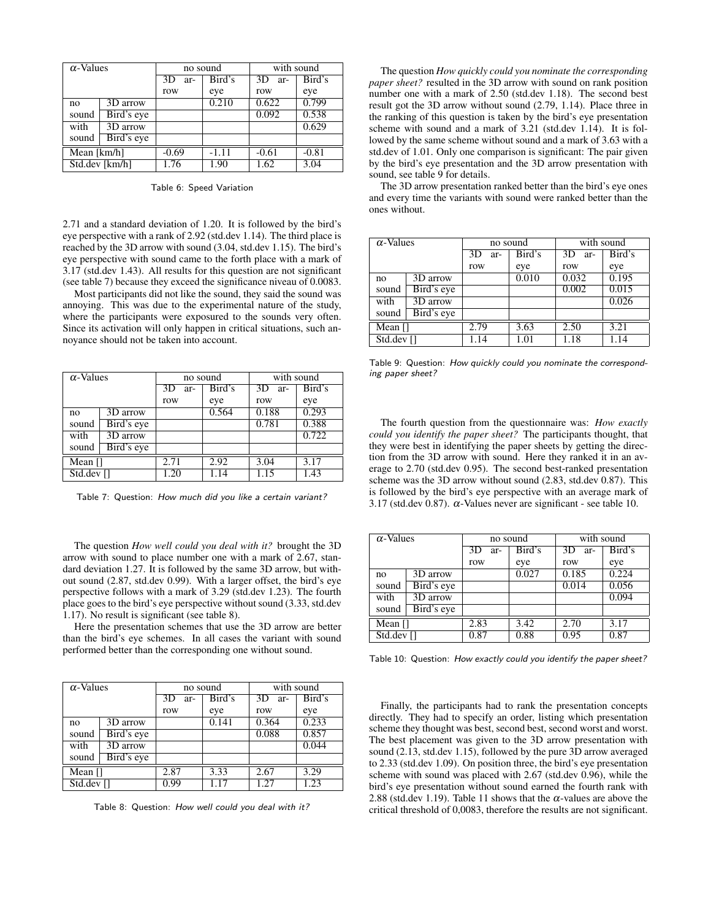| $\alpha$ -Values |                | no sound  |         | with sound |         |
|------------------|----------------|-----------|---------|------------|---------|
|                  |                | 3D<br>ar- | Bird's  | 3D<br>ar-  | Bird's  |
|                  |                | row       | eye     | row        | eye     |
| no               | 3D arrow       |           | 0.210   | 0.622      | 0.799   |
| sound            | Bird's eye     |           |         | 0.092      | 0.538   |
| with             | 3D arrow       |           |         |            | 0.629   |
| sound            | Bird's eye     |           |         |            |         |
| Mean [km/h]      |                | $-0.69$   | $-1.11$ | $-0.61$    | $-0.81$ |
|                  | Std.dev [km/h] | 1.76      | 1.90    | 1.62       | 3.04    |

Table 6: Speed Variation

2.71 and a standard deviation of 1.20. It is followed by the bird's eye perspective with a rank of 2.92 (std.dev 1.14). The third place is reached by the 3D arrow with sound (3.04, std.dev 1.15). The bird's eye perspective with sound came to the forth place with a mark of 3.17 (std.dev 1.43). All results for this question are not significant (see table 7) because they exceed the significance niveau of 0.0083.

Most participants did not like the sound, they said the sound was annoying. This was due to the experimental nature of the study, where the participants were exposured to the sounds very often. Since its activation will only happen in critical situations, such annoyance should not be taken into account.

| $\alpha$ -Values |            | no sound  |        | with sound |        |
|------------------|------------|-----------|--------|------------|--------|
|                  |            | 3D<br>ar- | Bird's | 3D<br>ar-  | Bird's |
|                  |            | row       | eye    | row        | eye    |
| no               | 3D arrow   |           | 0.564  | 0.188      | 0.293  |
| sound            | Bird's eye |           |        | 0.781      | 0.388  |
| with             | 3D arrow   |           |        |            | 0.722  |
| sound            | Bird's eye |           |        |            |        |
| Mean $\prod$     |            | 2.71      | 2.92   | 3.04       | 3.17   |
| Std.dev $\prod$  |            | 1.20      | 1.14   | 1.15       | 1.43   |

Table 7: Question: How much did you like a certain variant?

The question *How well could you deal with it?* brought the 3D arrow with sound to place number one with a mark of 2.67, standard deviation 1.27. It is followed by the same 3D arrow, but without sound (2.87, std.dev 0.99). With a larger offset, the bird's eye perspective follows with a mark of 3.29 (std.dev 1.23). The fourth place goes to the bird's eye perspective without sound (3.33, std.dev 1.17). No result is significant (see table 8).

Here the presentation schemes that use the 3D arrow are better than the bird's eye schemes. In all cases the variant with sound performed better than the corresponding one without sound.

| $\alpha$ -Values |            | no sound  |        | with sound |        |
|------------------|------------|-----------|--------|------------|--------|
|                  |            | 3D<br>ar- | Bird's | 3D<br>ar-  | Bird's |
|                  |            | row       | eye    | row        | eye    |
| no               | 3D arrow   |           | 0.141  | 0.364      | 0.233  |
| sound            | Bird's eye |           |        | 0.088      | 0.857  |
| with             | 3D arrow   |           |        |            | 0.044  |
| sound            | Bird's eye |           |        |            |        |
| Mean $\prod$     |            | 2.87      | 3.33   | 2.67       | 3.29   |
| $Std.dev$ $\Box$ |            | 0.99      | 1.17   | 1.27       | 1.23   |

Table 8: Question: How well could you deal with it?

The question *How quickly could you nominate the corresponding paper sheet?* resulted in the 3D arrow with sound on rank position number one with a mark of 2.50 (std.dev 1.18). The second best result got the 3D arrow without sound (2.79, 1.14). Place three in the ranking of this question is taken by the bird's eye presentation scheme with sound and a mark of 3.21 (std.dev 1.14). It is followed by the same scheme without sound and a mark of 3.63 with a std.dev of 1.01. Only one comparison is significant: The pair given by the bird's eye presentation and the 3D arrow presentation with sound, see table 9 for details.

The 3D arrow presentation ranked better than the bird's eye ones and every time the variants with sound were ranked better than the ones without.

| $\alpha$ -Values |            | no sound  |        | with sound |        |
|------------------|------------|-----------|--------|------------|--------|
|                  |            | 3D<br>ar- | Bird's | 3D<br>ar-  | Bird's |
|                  |            | row       | eye    | row        | eye    |
| no               | 3D arrow   |           | 0.010  | 0.032      | 0.195  |
| sound            | Bird's eye |           |        | 0.002      | 0.015  |
| with             | 3D arrow   |           |        |            | 0.026  |
| sound            | Bird's eye |           |        |            |        |
| Mean $\prod$     |            | 2.79      | 3.63   | 2.50       | 3.21   |
| Std.dev []       |            | 1.14      | 1.01   | 1.18       | 1.14   |

Table 9: Question: How quickly could you nominate the corresponding paper sheet?

The fourth question from the questionnaire was: *How exactly could you identify the paper sheet?* The participants thought, that they were best in identifying the paper sheets by getting the direction from the 3D arrow with sound. Here they ranked it in an average to 2.70 (std.dev 0.95). The second best-ranked presentation scheme was the 3D arrow without sound (2.83, std.dev 0.87). This is followed by the bird's eye perspective with an average mark of 3.17 (std.dev 0.87).  $\alpha$ -Values never are significant - see table 10.

| $\alpha$ -Values |            | no sound  |        | with sound |        |
|------------------|------------|-----------|--------|------------|--------|
|                  |            | 3D<br>ar- | Bird's | 3D<br>ar-  | Bird's |
|                  |            | row       | eye    | row        | eye    |
| no               | 3D arrow   |           | 0.027  | 0.185      | 0.224  |
| sound            | Bird's eye |           |        | 0.014      | 0.056  |
| with             | 3D arrow   |           |        |            | 0.094  |
| sound            | Bird's eye |           |        |            |        |
| Mean $\prod$     |            | 2.83      | 3.42   | 2.70       | 3.17   |
| $Std.dev$ []     |            | 0.87      | 0.88   | 0.95       | 0.87   |

Table 10: Question: How exactly could you identify the paper sheet?

Finally, the participants had to rank the presentation concepts directly. They had to specify an order, listing which presentation scheme they thought was best, second best, second worst and worst. The best placement was given to the 3D arrow presentation with sound (2.13, std.dev 1.15), followed by the pure 3D arrow averaged to 2.33 (std.dev 1.09). On position three, the bird's eye presentation scheme with sound was placed with 2.67 (std.dev 0.96), while the bird's eye presentation without sound earned the fourth rank with 2.88 (std.dev 1.19). Table 11 shows that the  $\alpha$ -values are above the critical threshold of 0,0083, therefore the results are not significant.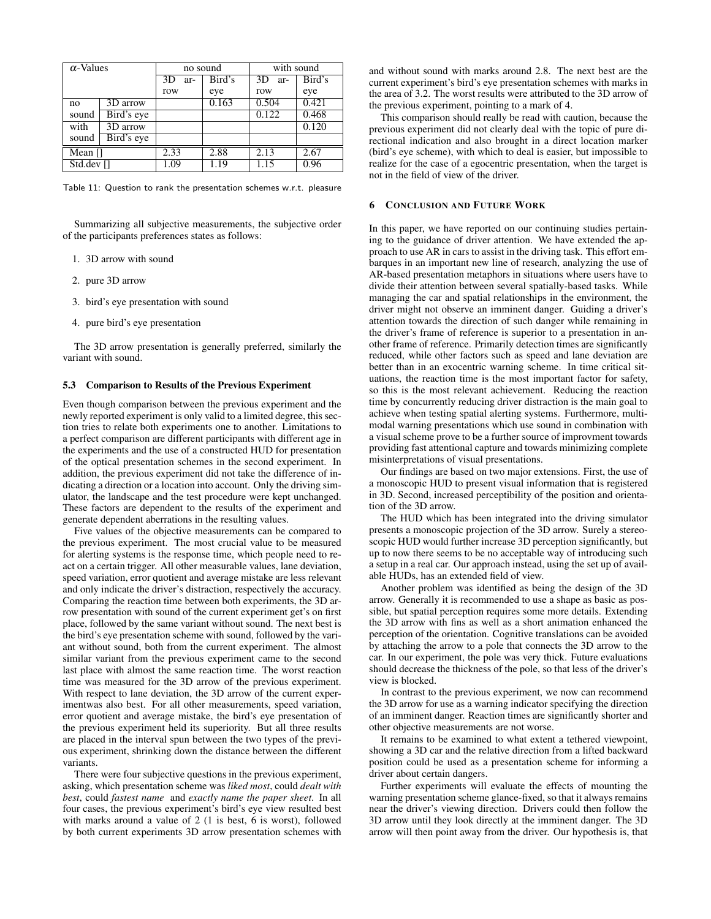| $\alpha$ -Values |            | no sound  |        | with sound |        |
|------------------|------------|-----------|--------|------------|--------|
|                  |            | 3D<br>ar- | Bird's | 3D.<br>ar- | Bird's |
|                  |            | row       | eye    | row        | eye    |
| no               | 3D arrow   |           | 0.163  | 0.504      | 0.421  |
| sound            | Bird's eye |           |        | 0.122      | 0.468  |
| with             | 3D arrow   |           |        |            | 0.120  |
| sound            | Bird's eye |           |        |            |        |
| Mean $\prod$     |            | 2.33      | 2.88   | 2.13       | 2.67   |
| Std.dev $\prod$  |            | 1.09      | 1.19   | 1.15       | 0.96   |

Table 11: Question to rank the presentation schemes w.r.t. pleasure

Summarizing all subjective measurements, the subjective order of the participants preferences states as follows:

- 1. 3D arrow with sound
- 2. pure 3D arrow
- 3. bird's eye presentation with sound
- 4. pure bird's eye presentation

The 3D arrow presentation is generally preferred, similarly the variant with sound.

#### 5.3 Comparison to Results of the Previous Experiment

Even though comparison between the previous experiment and the newly reported experiment is only valid to a limited degree, this section tries to relate both experiments one to another. Limitations to a perfect comparison are different participants with different age in the experiments and the use of a constructed HUD for presentation of the optical presentation schemes in the second experiment. In addition, the previous experiment did not take the difference of indicating a direction or a location into account. Only the driving simulator, the landscape and the test procedure were kept unchanged. These factors are dependent to the results of the experiment and generate dependent aberrations in the resulting values.

Five values of the objective measurements can be compared to the previous experiment. The most crucial value to be measured for alerting systems is the response time, which people need to react on a certain trigger. All other measurable values, lane deviation, speed variation, error quotient and average mistake are less relevant and only indicate the driver's distraction, respectively the accuracy. Comparing the reaction time between both experiments, the 3D arrow presentation with sound of the current experiment get's on first place, followed by the same variant without sound. The next best is the bird's eye presentation scheme with sound, followed by the variant without sound, both from the current experiment. The almost similar variant from the previous experiment came to the second last place with almost the same reaction time. The worst reaction time was measured for the 3D arrow of the previous experiment. With respect to lane deviation, the 3D arrow of the current experimentwas also best. For all other measurements, speed variation, error quotient and average mistake, the bird's eye presentation of the previous experiment held its superiority. But all three results are placed in the interval spun between the two types of the previous experiment, shrinking down the distance between the different variants.

There were four subjective questions in the previous experiment, asking, which presentation scheme was *liked most*, could *dealt with best*, could *fastest name* and *exactly name the paper sheet*. In all four cases, the previous experiment's bird's eye view resulted best with marks around a value of 2 (1 is best, 6 is worst), followed by both current experiments 3D arrow presentation schemes with

and without sound with marks around 2.8. The next best are the current experiment's bird's eye presentation schemes with marks in the area of 3.2. The worst results were attributed to the 3D arrow of the previous experiment, pointing to a mark of 4.

This comparison should really be read with caution, because the previous experiment did not clearly deal with the topic of pure directional indication and also brought in a direct location marker (bird's eye scheme), with which to deal is easier, but impossible to realize for the case of a egocentric presentation, when the target is not in the field of view of the driver.

# 6 CONCLUSION AND FUTURE WORK

In this paper, we have reported on our continuing studies pertaining to the guidance of driver attention. We have extended the approach to use AR in cars to assist in the driving task. This effort embarques in an important new line of research, analyzing the use of AR-based presentation metaphors in situations where users have to divide their attention between several spatially-based tasks. While managing the car and spatial relationships in the environment, the driver might not observe an imminent danger. Guiding a driver's attention towards the direction of such danger while remaining in the driver's frame of reference is superior to a presentation in another frame of reference. Primarily detection times are significantly reduced, while other factors such as speed and lane deviation are better than in an exocentric warning scheme. In time critical situations, the reaction time is the most important factor for safety, so this is the most relevant achievement. Reducing the reaction time by concurrently reducing driver distraction is the main goal to achieve when testing spatial alerting systems. Furthermore, multimodal warning presentations which use sound in combination with a visual scheme prove to be a further source of improvment towards providing fast attentional capture and towards minimizing complete misinterpretations of visual presentations.

Our findings are based on two major extensions. First, the use of a monoscopic HUD to present visual information that is registered in 3D. Second, increased perceptibility of the position and orientation of the 3D arrow.

The HUD which has been integrated into the driving simulator presents a monoscopic projection of the 3D arrow. Surely a stereoscopic HUD would further increase 3D perception significantly, but up to now there seems to be no acceptable way of introducing such a setup in a real car. Our approach instead, using the set up of available HUDs, has an extended field of view.

Another problem was identified as being the design of the 3D arrow. Generally it is recommended to use a shape as basic as possible, but spatial perception requires some more details. Extending the 3D arrow with fins as well as a short animation enhanced the perception of the orientation. Cognitive translations can be avoided by attaching the arrow to a pole that connects the 3D arrow to the car. In our experiment, the pole was very thick. Future evaluations should decrease the thickness of the pole, so that less of the driver's view is blocked.

In contrast to the previous experiment, we now can recommend the 3D arrow for use as a warning indicator specifying the direction of an imminent danger. Reaction times are significantly shorter and other objective measurements are not worse.

It remains to be examined to what extent a tethered viewpoint, showing a 3D car and the relative direction from a lifted backward position could be used as a presentation scheme for informing a driver about certain dangers.

Further experiments will evaluate the effects of mounting the warning presentation scheme glance-fixed, so that it always remains near the driver's viewing direction. Drivers could then follow the 3D arrow until they look directly at the imminent danger. The 3D arrow will then point away from the driver. Our hypothesis is, that